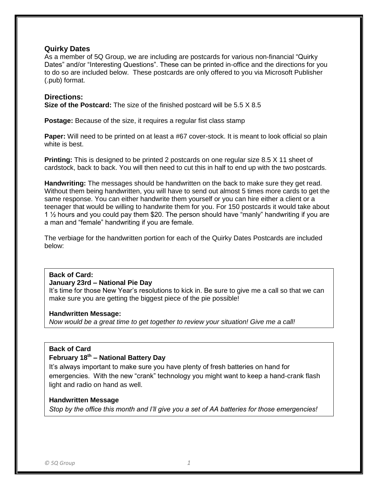#### **Quirky Dates**

As a member of 5Q Group, we are including are postcards for various non-financial "Quirky Dates" and/or "Interesting Questions". These can be printed in-office and the directions for you to do so are included below. These postcards are only offered to you via Microsoft Publisher (.pub) format.

#### **Directions:**

**Size of the Postcard:** The size of the finished postcard will be 5.5 X 8.5

**Postage:** Because of the size, it requires a regular fist class stamp

**Paper:** Will need to be printed on at least a #67 cover-stock. It is meant to look official so plain white is best.

**Printing:** This is designed to be printed 2 postcards on one regular size 8.5 X 11 sheet of cardstock, back to back. You will then need to cut this in half to end up with the two postcards.

**Handwriting:** The messages should be handwritten on the back to make sure they get read. Without them being handwritten, you will have to send out almost 5 times more cards to get the same response. You can either handwrite them yourself or you can hire either a client or a teenager that would be willing to handwrite them for you. For 150 postcards it would take about 1 ½ hours and you could pay them \$20. The person should have "manly" handwriting if you are a man and "female" handwriting if you are female.

The verbiage for the handwritten portion for each of the Quirky Dates Postcards are included below:

#### **Back of Card:**

#### **January 23rd – National Pie Day**

It's time for those New Year's resolutions to kick in. Be sure to give me a call so that we can make sure you are getting the biggest piece of the pie possible!

#### **Handwritten Message:**

*Now would be a great time to get together to review your situation! Give me a call!*

#### **Back of Card**

## **February 18th – National Battery Day**

It's always important to make sure you have plenty of fresh batteries on hand for emergencies. With the new "crank" technology you might want to keep a hand-crank flash light and radio on hand as well.

#### **Handwritten Message**

*Stop by the office this month and I'll give you a set of AA batteries for those emergencies!*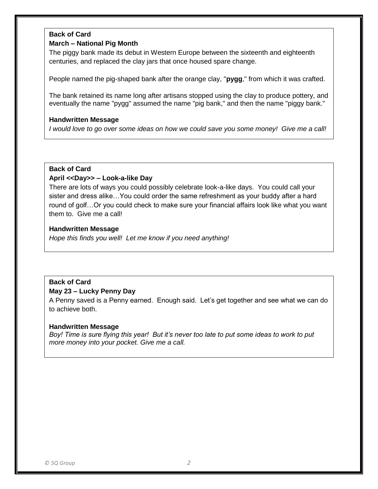## **Back of Card**

#### **March – National Pig Month**

The piggy bank made its debut in Western Europe between the sixteenth and eighteenth centuries, and replaced the clay jars that once housed spare change.

People named the pig-shaped bank after the orange clay, "**pygg**," from which it was crafted.

The bank retained its name long after artisans stopped using the clay to produce pottery, and eventually the name "pygg" assumed the name "pig bank," and then the name "piggy bank."

#### **Handwritten Message**

*I would love to go over some ideas on how we could save you some money! Give me a call!*

#### **Back of Card**

#### **April <<Day>> – Look-a-like Day**

There are lots of ways you could possibly celebrate look-a-like days. You could call your sister and dress alike…You could order the same refreshment as your buddy after a hard round of golf…Or you could check to make sure your financial affairs look like what you want them to. Give me a call!

#### **Handwritten Message**

*Hope this finds you well! Let me know if you need anything!*

## **Back of Card**

#### **May 23 – Lucky Penny Day**

A Penny saved is a Penny earned. Enough said. Let's get together and see what we can do to achieve both.

#### **Handwritten Message**

*Boy! Time is sure flying this year! But it's never too late to put some ideas to work to put more money into your pocket. Give me a call.*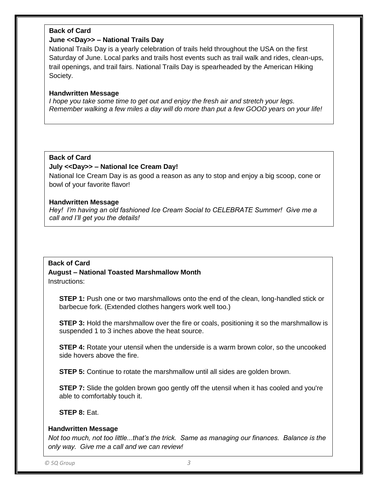## **Back of Card**

#### **June <<Day>> – National Trails Day**

National Trails Day is a yearly celebration of trails held throughout the USA on the first Saturday of June. Local parks and trails host events such as trail walk and rides, clean-ups, trail openings, and trail fairs. National Trails Day is spearheaded by the American Hiking Society.

#### **Handwritten Message**

*I hope you take some time to get out and enjoy the fresh air and stretch your legs. Remember walking a few miles a day will do more than put a few GOOD years on your life!*

#### **Back of Card**

#### **July <<Day>> – National Ice Cream Day!**

National Ice Cream Day is as good a reason as any to stop and enjoy a big scoop, cone or bowl of your favorite flavor!

#### **Handwritten Message**

*Hey! I'm having an old fashioned Ice Cream Social to CELEBRATE Summer! Give me a call and I'll get you the details!*

#### **Back of Card**

# **August – National Toasted Marshmallow Month**

Instructions:

**STEP 1:** Push one or two marshmallows onto the end of the clean, long-handled stick or barbecue fork. (Extended clothes hangers work well too.)

**STEP 3:** Hold the marshmallow over the fire or coals, positioning it so the marshmallow is suspended 1 to 3 inches above the heat source.

**STEP 4:** Rotate your utensil when the underside is a warm brown color, so the uncooked side hovers above the fire.

**STEP 5:** Continue to rotate the marshmallow until all sides are golden brown.

**STEP 7:** Slide the golden brown goo gently off the utensil when it has cooled and you're able to comfortably touch it.

## **STEP 8:** Eat.

#### **Handwritten Message**

*Not too much, not too little...that's the trick. Same as managing our finances. Balance is the only way. Give me a call and we can review!*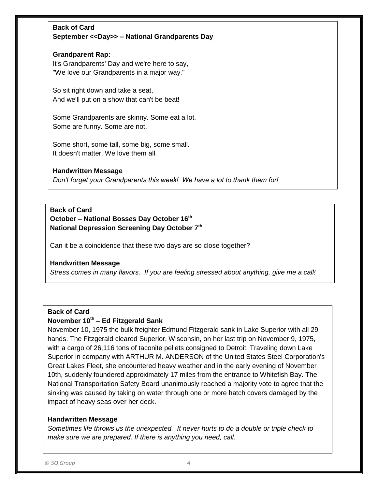## **Back of Card September <<Day>> – National Grandparents Day**

#### **Grandparent Rap:**  It's Grandparents' Day and we're here to say, "We love our Grandparents in a major way."

So sit right down and take a seat, And we'll put on a show that can't be beat!

Some Grandparents are skinny. Some eat a lot. Some are funny. Some are not.

Some short, some tall, some big, some small. It doesn't matter. We love them all.

## **Handwritten Message**

*Don't forget your Grandparents this week! We have a lot to thank them for!* 

## **Back of Card October – National Bosses Day October 16th National Depression Screening Day October 7th**

Can it be a coincidence that these two days are so close together?

#### **Handwritten Message**

*Stress comes in many flavors. If you are feeling stressed about anything, give me a call!*

## **Back of Card**

## **November 10th – Ed Fitzgerald Sank**

November 10, 1975 the bulk freighter Edmund Fitzgerald sank in Lake Superior with all 29 hands. The Fitzgerald cleared Superior, Wisconsin, on her last trip on November 9, 1975, with a cargo of 26,116 tons of taconite pellets consigned to Detroit. Traveling down Lake Superior in company with ARTHUR M. ANDERSON of the United States Steel Corporation's Great Lakes Fleet, she encountered heavy weather and in the early evening of November 10th, suddenly foundered approximately 17 miles from the entrance to Whitefish Bay. The National Transportation Safety Board unanimously reached a majority vote to agree that the sinking was caused by taking on water through one or more hatch covers damaged by the impact of heavy seas over her deck.

## **Handwritten Message**

*Sometimes life throws us the unexpected. It never hurts to do a double or triple check to make sure we are prepared. If there is anything you need, call.*